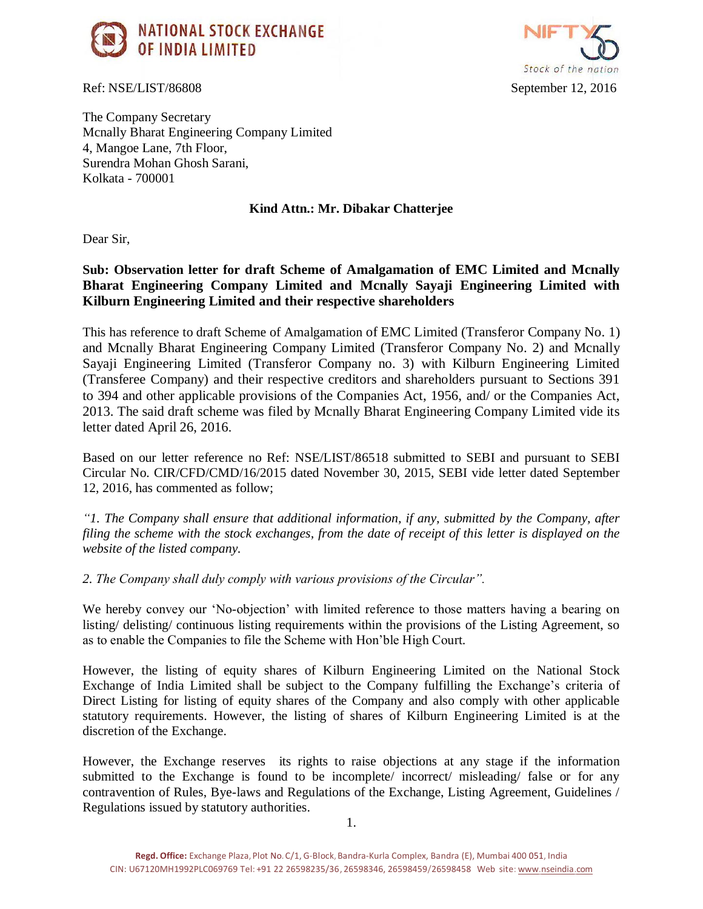

Ref: NSE/LIST/86808 September 12, 2016



The Company Secretary Mcnally Bharat Engineering Company Limited 4, Mangoe Lane, 7th Floor, Surendra Mohan Ghosh Sarani, Kolkata - 700001

## **Kind Attn.: Mr. Dibakar Chatterjee**

Dear Sir,

**Sub: Observation letter for draft Scheme of Amalgamation of EMC Limited and Mcnally Bharat Engineering Company Limited and Mcnally Sayaji Engineering Limited with Kilburn Engineering Limited and their respective shareholders**

This has reference to draft Scheme of Amalgamation of EMC Limited (Transferor Company No. 1) and Mcnally Bharat Engineering Company Limited (Transferor Company No. 2) and Mcnally Sayaji Engineering Limited (Transferor Company no. 3) with Kilburn Engineering Limited (Transferee Company) and their respective creditors and shareholders pursuant to Sections 391 to 394 and other applicable provisions of the Companies Act, 1956, and/ or the Companies Act, 2013. The said draft scheme was filed by Mcnally Bharat Engineering Company Limited vide its letter dated April 26, 2016.

Based on our letter reference no Ref: NSE/LIST/86518 submitted to SEBI and pursuant to SEBI Circular No. CIR/CFD/CMD/16/2015 dated November 30, 2015, SEBI vide letter dated September 12, 2016, has commented as follow;

*"1. The Company shall ensure that additional information, if any, submitted by the Company, after filing the scheme with the stock exchanges, from the date of receipt of this letter is displayed on the website of the listed company.*

*2. The Company shall duly comply with various provisions of the Circular".*

We hereby convey our 'No-objection' with limited reference to those matters having a bearing on listing/ delisting/ continuous listing requirements within the provisions of the Listing Agreement, so as to enable the Companies to file the Scheme with Hon'ble High Court.

However, the listing of equity shares of Kilburn Engineering Limited on the National Stock Exchange of India Limited shall be subject to the Company fulfilling the Exchange's criteria of Direct Listing for listing of equity shares of the Company and also comply with other applicable statutory requirements. However, the listing of shares of Kilburn Engineering Limited is at the discretion of the Exchange.

However, the Exchange reserves its rights to raise objections at any stage if the information submitted to the Exchange is found to be incomplete/ incorrect/ misleading/ false or for any contravention of Rules, Bye-laws and Regulations of the Exchange, Listing Agreement, Guidelines / Regulations issued by statutory authorities.